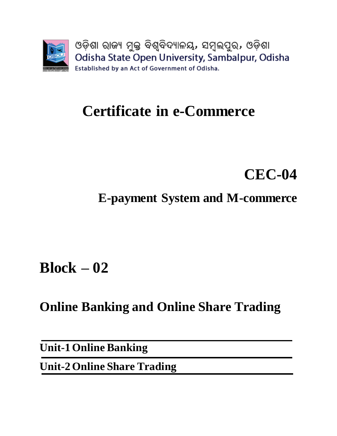

# **Certificate in e-Commerce**

# **CEC-04**

**E-payment System and M-commerce**

**Block – 02**

**Online Banking and Online Share Trading**

**Unit-1 Online Banking**

**Unit-2 Online Share Trading**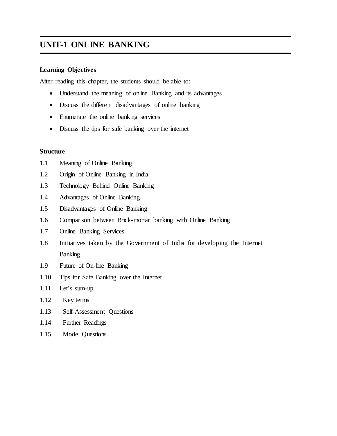## **UNIT-1 ONLINE BANKING**

### **Learning Objectives**

After reading this chapter, the students should be able to:

- Understand the meaning of online Banking and its advantages
- Discuss the different disadvantages of online banking
- Enumerate the online banking services
- Discuss the tips for safe banking over the internet

#### **Structure**

- 1.1 Meaning of Online Banking
- 1.2 Origin of Online Banking in India
- 1.3 Technology Behind Online Banking
- 1.4 Advantages of Online Banking
- 1.5 Disadvantages of Online Banking
- 1.6 Comparison between Brick-mortar banking with Online Banking
- 1.7 Online Banking Services
- 1.8 Initiatives taken by the Government of India for developing the Internet Banking
- 1.9 Future of On-line Banking
- 1.10 Tips for Safe Banking over the Internet
- 1.11 Let's sum-up
- 1.12 Key terms
- 1.13 Self-Assessment Questions
- 1.14 Further Readings
- 1.15 Model Questions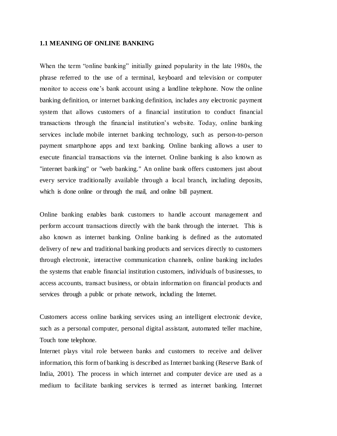#### **1.1 MEANING OF ONLINE BANKING**

When the term "online banking" initially gained popularity in the late 1980s, the phrase referred to the use of a terminal, keyboard and television or computer monitor to access one's [bank account](https://www.gobankingrates.com/banking/) using a landline telephone. Now the online banking definition, or internet banking definition, includes any electronic payment system that allows customers of a financial institution to conduct financial transactions through the financial institution's website. Today, online banking services include mobile internet banking technology, such as person-to-person payment smartphone apps and text banking. Online banking allows a user to execute financial transactions via the internet. Online banking is also known as "internet banking" or "web banking." An online bank offers customers just about every service traditionally available through a local branch, including [deposits,](http://www.investopedia.com/terms/d/deposit.asp) which is done online or through the mail, and online bill payment.

Online banking enables bank customers to handle account management and perform account transactions directly with the bank through the internet. This is also known as internet banking. Online banking is defined as the automated delivery of new and traditional banking products and services directly to customers through electronic, interactive communication channels, online banking includes the systems that enable financial institution customers, individuals of businesses, to access accounts, transact business, or obtain information on financial products and services through a public or private network, including the Internet.

Customers access online banking services using an intelligent electronic device, such as a personal computer, personal digital assistant, automated teller machine, Touch tone telephone.

Internet plays vital role between banks and customers to receive and deliver information, this form of banking is described as Internet banking (Reserve Bank of India, 2001). The process in which internet and computer device are used as a medium to facilitate banking services is termed as internet banking. Internet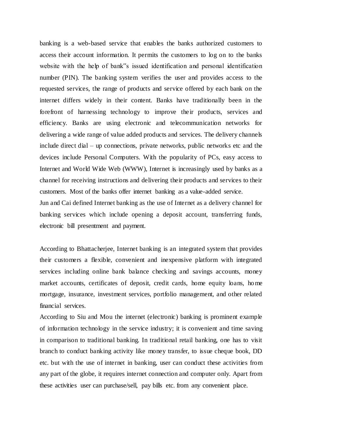banking is a web-based service that enables the banks authorized customers to access their account information. It permits the customers to log on to the banks website with the help of bank"s issued identification and personal identification number (PIN). The banking system verifies the user and provides access to the requested services, the range of products and service offered by each bank on the internet differs widely in their content. Banks have traditionally been in the forefront of harnessing technology to improve their products, services and efficiency. Banks are using electronic and telecommunication networks for delivering a wide range of value added products and services. The delivery channels include direct dial – up connections, private networks, public networks etc and the devices include Personal Computers. With the popularity of PCs, easy access to Internet and World Wide Web (WWW), Internet is increasingly used by banks as a channel for receiving instructions and delivering their products and services to their customers. Most of the banks offer internet banking as a value-added service. Jun and Cai defined Internet banking as the use of Internet as a delivery channel for banking services which include opening a deposit account, transferring funds,

According to Bhattacherjee, Internet banking is an integrated system that provides their customers a flexible, convenient and inexpensive platform with integrated services including online bank balance checking and savings accounts, money market accounts, certificates of deposit, credit cards, home equity loans, home mortgage, insurance, investment services, portfolio management, and other related financial services.

electronic bill presentment and payment.

According to Siu and Mou the internet (electronic) banking is prominent example of information technology in the service industry; it is convenient and time saving in comparison to traditional banking. In traditional retail banking, one has to visit branch to conduct banking activity like money transfer, to issue cheque book, DD etc. but with the use of internet in banking, user can conduct these activities from any part of the globe, it requires internet connection and computer only. Apart from these activities user can purchase/sell, pay bills etc. from any convenient place.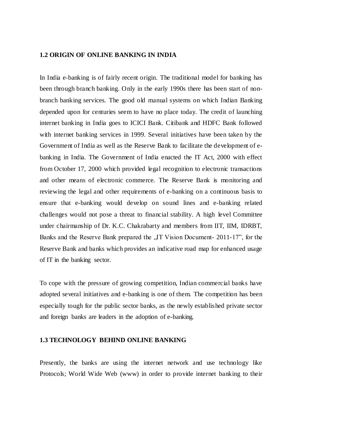#### **1.2 ORIGIN OF ONLINE BANKING IN INDIA**

In India e-banking is of fairly recent origin. The traditional model for banking has been through branch banking. Only in the early 1990s there has been start of nonbranch banking services. The good old manual systems on which Indian Banking depended upon for centuries seem to have no place today. The credit of launching internet banking in India goes to ICICI Bank. Citibank and HDFC Bank followed with internet banking services in 1999. Several initiatives have been taken by the Government of India as well as the Reserve Bank to facilitate the development of ebanking in India. The Government of India enacted the IT Act, 2000 with effect from October 17, 2000 which provided legal recognition to electronic transactions and other means of electronic commerce. The Reserve Bank is monitoring and reviewing the legal and other requirements of e-banking on a continuous basis to ensure that e-banking would develop on sound lines and e-banking related challenges would not pose a threat to financial stability. A high level Committee under chairmanship of Dr. K.C. Chakrabarty and members from IIT, IIM, IDRBT, Banks and the Reserve Bank prepared the "IT Vision Document- 2011-17", for the Reserve Bank and banks which provides an indicative road map for enhanced usage of IT in the banking sector.

To cope with the pressure of growing competition, Indian commercial banks have adopted several initiatives and e-banking is one of them. The competition has been especially tough for the public sector banks, as the newly established private sector and foreign banks are leaders in the adoption of e-banking.

#### **1.3 TECHNOLOGY BEHIND ONLINE BANKING**

Presently, the banks are using the internet network and use technology like Protocols; World Wide Web (www) in order to provide internet banking to their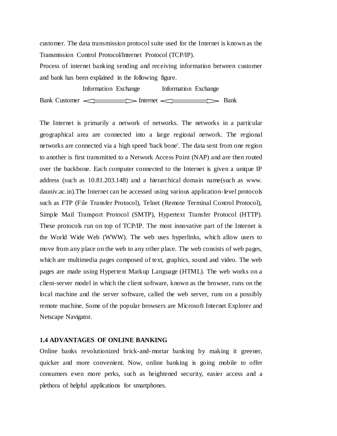customer. The data transmission protocol suite used for the Internet is known as the Transmission Control Protocol/Internet Protocol (TCP/IP).

Process of internet banking sending and receiving information between customer and bank has been explained in the following figure.

 Information Exchange Information Exchange Bank Customer <u>Internet</u> Bank

The Internet is primarily a network of networks. The networks in a particular geographical area are connected into a large regional network. The regional networks are connected via a high speed 'back bone'. The data sent from one region to another is first transmitted to a Network Access Point (NAP) and are then routed over the backbone. Each computer connected to the Internet is given a unique IP address (such as 10.81.203.148) and a hierarchical domain name(such as www. dauniv.ac.in).The Internet can be accessed using various application-level protocols such as FTP (File Transfer Protocol), Telnet (Remote Terminal Control Protocol), Simple Mail Transport Protocol (SMTP), Hypertext Transfer Protocol (HTTP). These protocols run on top of TCP/IP. The most innovative part of the Internet is the World Wide Web (WWW). The web uses hyperlinks, which allow users to move from any place on the web to any other place. The web consists of web pages, which are multimedia pages composed of text, graphics, sound and video. The web pages are made using Hypertext Markup Language (HTML). The web works on a client-server model in which the client software, known as the browser, runs on the local machine and the server software, called the web server, runs on a possibly remote machine. Some of the popular browsers are Microsoft Internet Explorer and Netscape Navigator.

#### **1.4 ADVANTAGES OF ONLINE BANKING**

Online banks revolutionized brick-and-mortar banking by making it greener, quicker and more convenient. Now, online banking is going mobile to offer consumers even more perks, such as heightened security, easier access and a plethora of helpful applications for smartphones.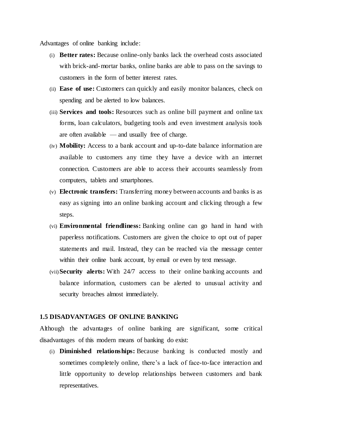Advantages of online banking include:

- (i) **Better rates:** Because online-only banks lack the overhead costs associated with brick-and-mortar banks, online banks are able to pass on the savings to customers in the form of better interest rates.
- (ii) **Ease of use:** Customers can quickly and easily monitor balances, check on spending and be alerted to low balances.
- (iii) **Services and tools:** Resources such as online bill payment and online tax forms, loan calculators, budgeting tools and even investment analysis tools are often available  $\frac{1}{2}$  and usually free of charge.
- (iv) **Mobility:** Access to a bank account and up-to-date balance information are available to customers any time they have a device with an internet connection. Customers are able to access their accounts seamlessly from computers, tablets and smartphones.
- (v) **Electronic transfers:** Transferring money between accounts and banks is as easy as signing into an online banking account and clicking through a few steps.
- (vi) **Environmental friendliness:** Banking online can go hand in hand with paperless notifications. Customers are given the choice to opt out of paper statements and mail. Instead, they can be reached via the message center within their online bank account, by email or even by text message.
- (vii)**Security alerts:** With 24/7 access to their online banking accounts and balance information, customers can be alerted to unusual activity and security breaches almost immediately.

#### **1.5 DISADVANTAGES OF ONLINE BANKING**

Although the advantages of online banking are significant, some critical disadvantages of this modern means of banking do exist:

(i) **Diminished relationships:** Because banking is conducted mostly and sometimes completely online, there's a lack of face-to-face interaction and little opportunity to develop relationships between customers and bank representatives.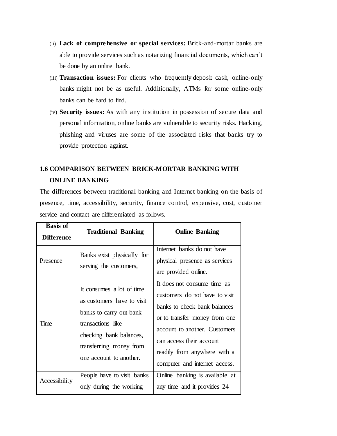- (ii) **Lack of comprehensive or special services:** Brick-and-mortar banks are able to provide services such as notarizing financial documents, which can't be done by an online bank.
- (iii) **Transaction issues:** For clients who frequently [deposit cash, online-only](http://www.gobankingrates.com/banking/deposit-cash-online-bank-account/)  [banks](http://www.gobankingrates.com/banking/deposit-cash-online-bank-account/) might not be as useful. Additionally, ATMs for some online-only banks can be hard to find.
- (iv) **Security issues:** As with any institution in possession of secure data and personal information, online banks are vulnerable to security risks. Hacking, phishing and viruses are some of the associated risks that banks try to provide protection against.

## **1.6 COMPARISON BETWEEN BRICK-MORTAR BANKING WITH ONLINE BANKING**

The differences between traditional banking and Internet banking on the basis of presence, time, accessibility, security, finance control, expensive, cost, customer service and contact are differentiated as follows.

| <b>Basis of</b><br><b>Difference</b> | <b>Traditional Banking</b>                                                                                                                                                                 | <b>Online Banking</b>                                                                                                                                                                                                                                        |
|--------------------------------------|--------------------------------------------------------------------------------------------------------------------------------------------------------------------------------------------|--------------------------------------------------------------------------------------------------------------------------------------------------------------------------------------------------------------------------------------------------------------|
| Presence                             | Banks exist physically for<br>serving the customers,                                                                                                                                       | Internet banks do not have<br>physical presence as services<br>are provided online.                                                                                                                                                                          |
| Time                                 | It consumes a lot of time<br>as customers have to visit<br>banks to carry out bank<br>transactions like -<br>checking bank balances,<br>transferring money from<br>one account to another. | It does not consume time as<br>customers do not have to visit<br>banks to check bank balances<br>or to transfer money from one<br>account to another. Customers<br>can access their account<br>readily from anywhere with a<br>computer and internet access. |
| Accessibility                        | People have to visit banks<br>only during the working                                                                                                                                      | Online banking is available at<br>any time and it provides 24                                                                                                                                                                                                |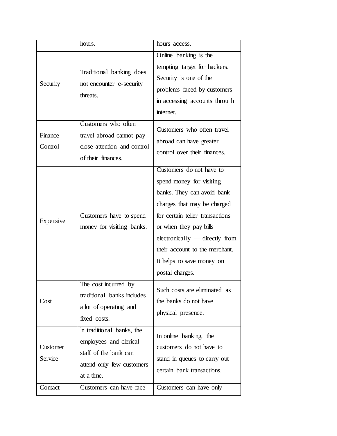|                                | hours.                                                                                                                                             | hours access.                                                                                                                                                                                                                                                                                      |
|--------------------------------|----------------------------------------------------------------------------------------------------------------------------------------------------|----------------------------------------------------------------------------------------------------------------------------------------------------------------------------------------------------------------------------------------------------------------------------------------------------|
| Security                       | Traditional banking does<br>not encounter e-security<br>threats.                                                                                   | Online banking is the<br>tempting target for hackers.<br>Security is one of the<br>problems faced by customers<br>in accessing accounts throu h<br>internet.                                                                                                                                       |
| Finance<br>Control             | Customers who often<br>travel abroad cannot pay<br>close attention and control<br>of their finances.                                               | Customers who often travel<br>abroad can have greater<br>control over their finances.                                                                                                                                                                                                              |
| Expensive                      | Customers have to spend<br>money for visiting banks.                                                                                               | Customers do not have to<br>spend money for visiting<br>banks. They can avoid bank<br>charges that may be charged<br>for certain teller transactions<br>or when they pay bills<br>electronically — directly from<br>their account to the merchant.<br>It helps to save money on<br>postal charges. |
| Cost                           | The cost incurred by<br>traditional banks includes<br>a lot of operating and<br>fixed costs.                                                       | Such costs are eliminated as<br>the banks do not have<br>physical presence.                                                                                                                                                                                                                        |
| Customer<br>Service<br>Contact | In traditional banks, the<br>employees and clerical<br>staff of the bank can<br>attend only few customers<br>at a time.<br>Customers can have face | In online banking, the<br>customers do not have to<br>stand in queues to carry out<br>certain bank transactions.<br>Customers can have only                                                                                                                                                        |
|                                |                                                                                                                                                    |                                                                                                                                                                                                                                                                                                    |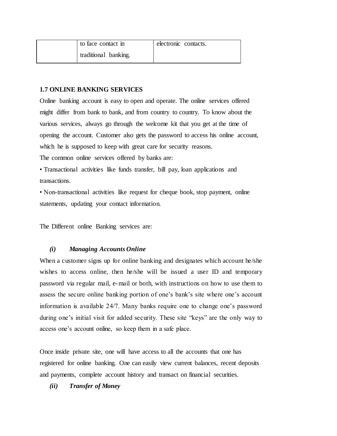| to face contact in   | electronic contacts. |  |
|----------------------|----------------------|--|
| traditional banking. |                      |  |

#### **1.7 ONLINE BANKING SERVICES**

Online banking account is easy to open and operate. The online services offered might differ from bank to bank, and from country to country. To know about the various services, always go through the welcome kit that you get at the time of opening the account. Customer also gets the password to access his online account, which he is supposed to keep with great care for security reasons. The common online services offered by banks are:

• Transactional activities like funds transfer, bill pay, loan applications and transactions.

• Non-transactional activities like request for cheque book, stop payment, online statements, updating your contact information.

The Different online Banking services are:

#### *(i) Managing Accounts Online*

When a customer signs up for online banking and designates which account he/she wishes to access online, then he/she will be issued a user ID and temporary password via regular mail, e-mail or both, with instructions on how to use them to assess the secure online banking portion of one's bank's site where one's account information is available 24/7. Many banks require one to change one's password during one's initial visit for added security. These site "keys" are the only way to access one's account online, so keep them in a safe place.

Once inside private site, one will have access to all the accounts that one has registered for online banking. One can easily view current balances, recent deposits and payments, complete account history and transact on financial securities.

*(ii) Transfer of Money*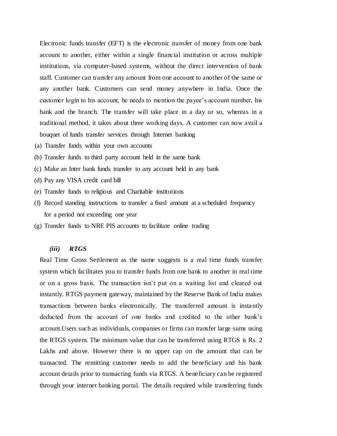Electronic funds transfer (EFT) is the electronic transfer of money from one bank account to another, either within a single financial institution or across multiple institutions, via computer-based systems, without the direct intervention of bank staff. Customer can transfer any amount from one account to another of the same or any another bank. Customers can send money anywhere in India. Once the customer login to his account, he needs to mention the payee's account number, his bank and the branch. The transfer will take place in a day or so, whereas in a traditional method, it takes about three working days. A customer can now avail a bouquet of funds transfer services through Internet banking

- (a) Transfer funds within your own accounts
- (b) Transfer funds to third party account held in the same bank
- (c) Make an Inter bank funds transfer to any account held in any bank
- (d) Pay any VISA credit card bill
- (e) Transfer funds to religious and Charitable institutions
- (f) Record standing instructions to transfer a fixed amount at a scheduled frequency for a period not exceeding one year
- (g) Transfer funds to NRE PIS accounts to facilitate online trading

#### *(iii) RTGS*

Real Time Gross Settlement as the name suggests is a real time funds transfer system which facilitates you to transfer funds from one bank to another in real time or on a gross basis. The transaction isn't put on a waiting list and cleared out instantly. RTGS payment gateway, maintained by the Reserve Bank of India makes transactions between banks electronically. The transferred amount is instantly deducted from the account of one banks and credited to the other bank's account.Users such as individuals, companies or firms can transfer large sums using the RTGS system. The minimum value that can be transferred using RTGS is Rs. 2 Lakhs and above. However there is no upper cap on the amount that can be transacted. The remitting customer needs to add the beneficiary and his bank account details prior to transacting funds via RTGS. A beneficiary can be registered through your internet banking portal. The details required while transferring funds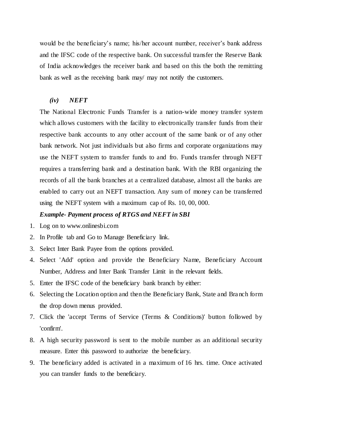would be the beneficiary's name; his/her account number, receiver's bank address and the IFSC code of the respective bank. On successful transfer the Reserve Bank of India acknowledges the receiver bank and based on this the both the remitting bank as well as the receiving bank may/ may not notify the customers.

#### *(iv) NEFT*

The National Electronic Funds Transfer is a nation-wide money transfer system which allows customers with the facility to electronically transfer funds from their respective bank accounts to any other account of the same bank or of any other bank network. Not just individuals but also firms and corporate organizations may use the NEFT system to transfer funds to and fro. Funds transfer through NEFT requires a transferring bank and a destination bank. With the RBI organizing the records of all the bank branches at a centralized database, almost all the banks are enabled to carry out an NEFT transaction. Any sum of money can be transferred using the NEFT system with a maximum cap of Rs. 10, 00, 000.

#### *Example- Payment process of RTGS and NEFT in SBI*

- 1. Log on to www.onlinesbi.com
- 2. In Profile tab and Go to Manage Beneficiary link.
- 3. Select Inter Bank Payee from the options provided.
- 4. Select 'Add' option and provide the Beneficiary Name, Beneficiary Account Number, Address and Inter Bank Transfer Limit in the relevant fields.
- 5. Enter the IFSC code of the beneficiary bank branch by either:
- 6. Selecting the Location option and then the Beneficiary Bank, State and Branch form the drop down menus provided.
- 7. Click the 'accept Terms of Service (Terms & Conditions)' button followed by 'confirm'.
- 8. A high security password is sent to the mobile number as an additional security measure. Enter this password to authorize the beneficiary.
- 9. The beneficiary added is activated in a maximum of 16 hrs. time. Once activated you can transfer funds to the beneficiary.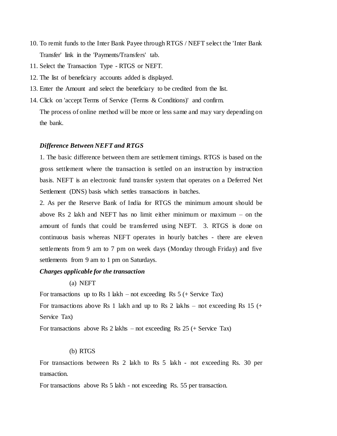- 10. To remit funds to the Inter Bank Payee through RTGS / NEFT select the 'Inter Bank Transfer' link in the 'Payments/Transfers' tab.
- 11. Select the Transaction Type RTGS or NEFT.
- 12. The list of beneficiary accounts added is displayed.
- 13. Enter the Amount and select the beneficiary to be credited from the list.
- 14. Click on 'accept Terms of Service (Terms & Conditions)' and confirm.

The process of online method will be more or less same and may vary depending on the bank.

#### *Difference Between NEFT and RTGS*

1. The basic difference between them are settlement timings. RTGS is based on the gross settlement where the transaction is settled on an instruction by instruction basis. NEFT is an electronic fund transfer system that operates on a Deferred Net Settlement (DNS) basis which settles transactions in batches.

2. As per the Reserve Bank of India for RTGS the minimum amount should be above Rs 2 lakh and NEFT has no limit either minimum or maximum – on the amount of funds that could be transferred using NEFT. 3. RTGS is done on continuous basis whereas NEFT operates in hourly batches - there are eleven settlements from 9 am to 7 pm on week days (Monday through Friday) and five settlements from 9 am to 1 pm on Saturdays.

#### *Charges applicable for the transaction*

(a) NEFT

For transactions up to Rs 1 lakh – not exceeding Rs  $5$  (+ Service Tax) For transactions above Rs 1 lakh and up to Rs 2 lakhs – not exceeding Rs 15  $(+)$ Service Tax)

For transactions above Rs 2 lakhs – not exceeding Rs 25 (+ Service Tax)

#### (b) RTGS

For transactions between Rs 2 lakh to Rs 5 lakh - not exceeding Rs. 30 per transaction.

For transactions above Rs 5 lakh - not exceeding Rs. 55 per transaction.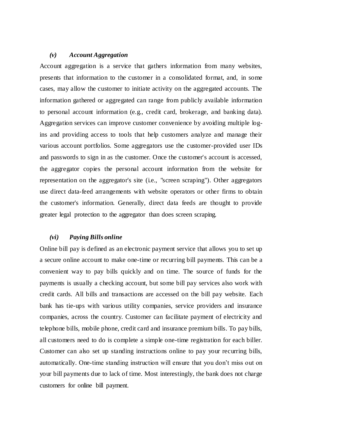#### *(v) Account Aggregation*

Account aggregation is a service that gathers information from many websites, presents that information to the customer in a consolidated format, and, in some cases, may allow the customer to initiate activity on the aggregated accounts. The information gathered or aggregated can range from publicly available information to personal account information (e.g., credit card, brokerage, and banking data). Aggregation services can improve customer convenience by avoiding multiple logins and providing access to tools that help customers analyze and manage their various account portfolios. Some aggregators use the customer-provided user IDs and passwords to sign in as the customer. Once the customer's account is accessed, the aggregator copies the personal account information from the website for representation on the aggregator's site (i.e., "screen scraping"). Other aggregators use direct data-feed arrangements with website operators or other firms to obtain the customer's information. Generally, direct data feeds are thought to provide greater legal protection to the aggregator than does screen scraping.

#### *(vi) Paying Bills online*

Online bill pay is defined as an [electronic payment](https://www.thebalance.com/what-are-electronic-payments-in-financial-software-1293681) service that allows you to set up a secure online account to make one-time or recurring bill payments. This can be a convenient way to pay bills quickly and on time. The source of funds for the payments is usually a checking account, but some bill pay services also work with credit cards. All bills and transactions are accessed on the bill pay website. Each bank has tie-ups with various utility companies, service providers and insurance companies, across the country. Customer can facilitate payment of electricity and telephone bills, mobile phone, credit card and insurance premium bills. To pay bills, all customers need to do is complete a simple one-time registration for each biller. Customer can also set up standing instructions online to pay your recurring bills, automatically. One-time standing instruction will ensure that you don't miss out on your bill payments due to lack of time. Most interestingly, the bank does not charge customers for online bill payment.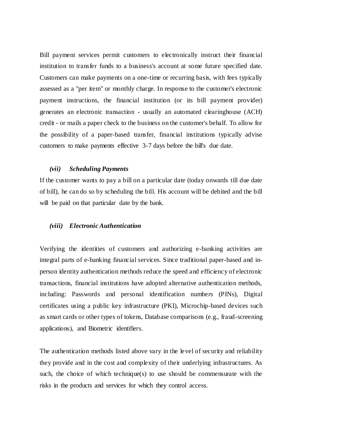Bill payment services permit customers to electronically instruct their financial institution to transfer funds to a business's account at some future specified date. Customers can make payments on a one-time or recurring basis, with fees typically assessed as a "per item" or monthly charge. In response to the customer's electronic payment instructions, the financial institution (or its bill payment provider) generates an electronic transaction - usually an automated clearinghouse (ACH) credit - or mails a paper check to the business on the customer's behalf. To allow for the possibility of a paper-based transfer, financial institutions typically advise customers to make payments effective 3-7 days before the bill's due date.

#### *(vii) Scheduling Payments*

If the customer wants to pay a bill on a particular date (today onwards till due date of bill), he can do so by scheduling the bill. His account will be debited and the bill will be paid on that particular date by the bank.

#### *(viii) Electronic Authentication*

Verifying the identities of customers and authorizing e-banking activities are integral parts of e-banking financial services. Since traditional paper-based and inperson identity authentication methods reduce the speed and efficiency of electronic transactions, financial institutions have adopted alternative authentication methods, including: Passwords and personal identification numbers (PINs), Digital certificates using a public key infrastructure (PKI), Microchip-based devices such as smart cards or other types of tokens, Database comparisons (e.g., fraud-screening applications), and Biometric identifiers.

The authentication methods listed above vary in the level of security and reliability they provide and in the cost and complexity of their underlying infrastructures. As such, the choice of which technique(s) to use should be commensurate with the risks in the products and services for which they control access.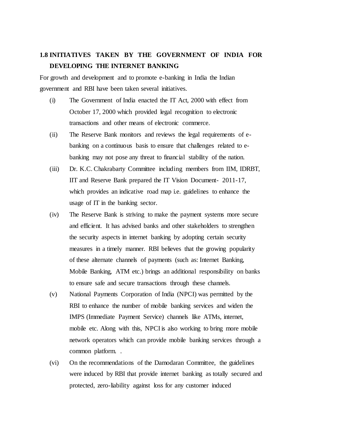## **1.8 INITIATIVES TAKEN BY THE GOVERNMENT OF INDIA FOR DEVELOPING THE INTERNET BANKING**

For growth and development and to promote e-banking in India the Indian government and RBI have been taken several initiatives.

- (i) The Government of India enacted the IT Act, 2000 with effect from October 17, 2000 which provided legal recognition to electronic transactions and other means of electronic commerce.
- (ii) The Reserve Bank monitors and reviews the legal requirements of ebanking on a continuous basis to ensure that challenges related to ebanking may not pose any threat to financial stability of the nation.
- (iii) Dr. K.C. Chakrabarty Committee including members from IIM, IDRBT, IIT and Reserve Bank prepared the IT Vision Document- 2011-17, which provides an indicative road map i.e. guidelines to enhance the usage of IT in the banking sector.
- (iv) The Reserve Bank is striving to make the payment systems more secure and efficient. It has advised banks and other stakeholders to strengthen the security aspects in internet banking by adopting certain security measures in a timely manner. RBI believes that the growing popularity of these alternate channels of payments (such as: Internet Banking, Mobile Banking, ATM etc.) brings an additional responsibility on banks to ensure safe and secure transactions through these channels.
- (v) National Payments Corporation of India (NPCI) was permitted by the RBI to enhance the number of mobile banking services and widen the IMPS (Immediate Payment Service) channels like ATMs, internet, mobile etc. Along with this, NPCI is also working to bring more mobile network operators which can provide mobile banking services through a common platform. .
- (vi) On the recommendations of the Damodaran Committee, the guidelines were induced by RBI that provide internet banking as totally secured and protected, zero-liability against loss for any customer induced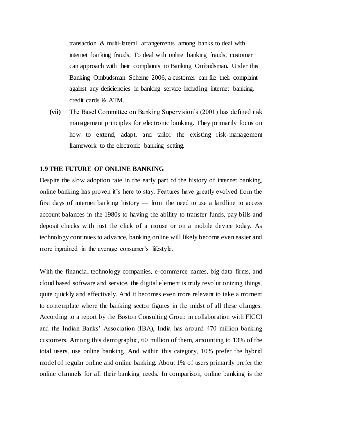transaction & multi-lateral arrangements among banks to deal with internet banking frauds. To deal with online banking frauds, customer can approach with their complaints to Banking Ombudsman**.** Under this Banking Ombudsman Scheme 2006, a customer can file their complaint against any deficiencies in banking service including internet banking, credit cards & ATM.

**(vii)** The Basel Committee on Banking Supervision's (2001) has defined risk management principles for electronic banking. They primarily focus on how to extend, adapt, and tailor the existing risk-management framework to the electronic banking setting.

#### **1.9 THE FUTURE OF ONLINE BANKING**

Despite the slow adoption rate in the early part of the history of internet banking, online banking has proven it's here to stay. Features have greatly evolved from the first days of internet banking history — from the need to use a landline to access account balances in the 1980s to having the ability to transfer funds, pay bills and deposit checks with just the click of a mouse or on a mobile device today. As technology continues to advance, banking online will likely become even easier and more ingrained in the average consumer's lifestyle.

With the financial technology companies, e-commerce names, big data firms, and cloud based software and service, the digital element is truly revolutionizing things, quite quickly and effectively. And it becomes even more relevant to take a moment to contemplate where the banking sector figures in the midst of all these changes. According to a report by the Boston Consulting Group in collaboration with FICCI and the Indian Banks' Association (IBA), India has around 470 million banking customers. Among this demographic, 60 million of them, amounting to 13% of the total users, use online banking. And within this category, 10% prefer the hybrid model of regular online and online banking. About 1% of users primarily prefer the online channels for all their banking needs. In comparison, online banking is the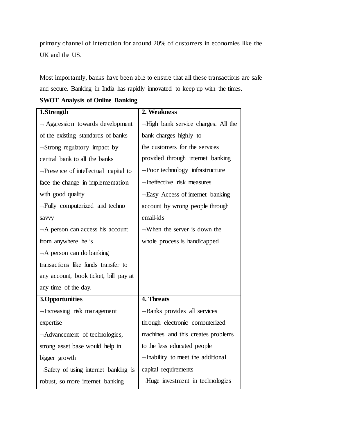primary channel of interaction for around 20% of customers in economies like the UK and the US.

Most importantly, banks have been able to ensure that all these transactions are safe and secure. Banking in India has rapidly innovated to keep up with the times.

**SWOT Analysis of Online Banking**

| 1.Strength                                 | 2. Weakness                            |
|--------------------------------------------|----------------------------------------|
| $\neg$ Aggression towards development      | -High bank service charges. All the    |
| of the existing standards of banks         | bank charges highly to                 |
| -Strong regulatory impact by               | the customers for the services         |
| central bank to all the banks              | provided through internet banking      |
| $\neg$ Presence of intellectual capital to | $\neg$ Poor technology infrastructure  |
| face the change in implementation          | -Ineffective risk measures             |
| with good quality                          | -Easy Access of internet banking       |
| -Fully computerized and techno             | account by wrong people through        |
| savvy                                      | email-ids                              |
| $\neg A$ person can access his account     | $\neg$ When the server is down the     |
| from anywhere he is                        | whole process is handicapped           |
| $\neg A$ person can do banking             |                                        |
| transactions like funds transfer to        |                                        |
| any account, book ticket, bill pay at      |                                        |
| any time of the day.                       |                                        |
| 3. Opportunities                           | 4. Threats                             |
| -Increasing risk management                | -Banks provides all services           |
| expertise                                  | through electronic computerized        |
| -Advancement of technologies,              | machines and this creates problems     |
| strong asset base would help in            | to the less educated people            |
| bigger growth                              | -Inability to meet the additional      |
| -Safety of using internet banking is       | capital requirements                   |
| robust, so more internet banking           | $\neg$ Huge investment in technologies |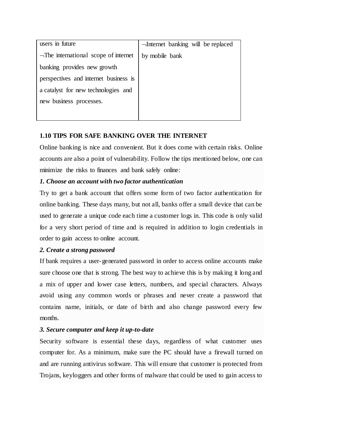| users in future                            | -Internet banking will be replaced |
|--------------------------------------------|------------------------------------|
| $\neg$ The international scope of internet | by mobile bank                     |
| banking provides new growth                |                                    |
| perspectives and internet business is      |                                    |
| a catalyst for new technologies and        |                                    |
| new business processes.                    |                                    |
|                                            |                                    |

### **1.10 TIPS FOR SAFE BANKING OVER THE INTERNET**

Online banking is nice and convenient. But it does come with certain risks. Online accounts are also a point of vulnerability. Follow the tips mentioned below, one can minimize the risks to finances and bank safely online:

#### *1. Choose an account with two factor authentication*

Try to get a bank account that offers some form of two factor authentication for online banking. These days many, but not all, banks offer a small device that can be used to generate a unique code each time a customer logs in. This code is only valid for a very short period of time and is required in addition to login credentials in order to gain access to online account.

#### *2. Create a strong password*

If bank requires a user-generated password in order to access online accounts make sure choose one that is strong. The best way to achieve this is by making it long and a mix of upper and lower case letters, numbers, and special characters. Always avoid using any common words or phrases and never create a password that contains name, initials, or date of birth and also change password every few months.

#### *3. Secure computer and keep it up-to-date*

Security software is essential these days, regardless of what customer uses computer for. As a minimum, make sure the PC should have a firewall turned on and are running antivirus software. This will ensure that customer is protected from Trojans, keyloggers and other forms of malware that could be used to gain access to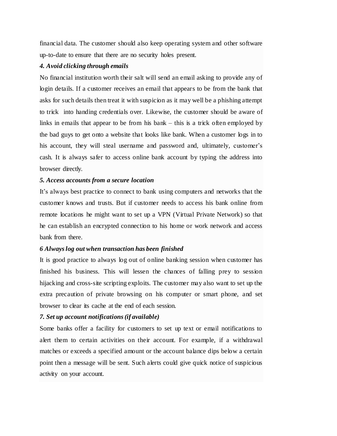financial data. The customer should also keep operating system and other software up-to-date to ensure that there are no security holes present.

#### *4. Avoid clicking through emails*

No financial institution worth their salt will send an email asking to provide any of login details. If a customer receives an email that appears to be from the bank that asks for such details then treat it with suspicion as it may well be a phishing attempt to trick into handing credentials over. Likewise, the customer should be aware of links in emails that appear to be from his bank – this is a trick often employed by the bad guys to get onto a website that looks like bank. When a customer logs in to his account, they will steal username and password and, ultimately, customer's cash. It is always safer to access online bank account by typing the address into browser directly.

#### *5. Access accounts from a secure location*

It's always best practice to connect to bank using computers and networks that the customer knows and trusts. But if customer needs to access his bank online from remote locations he might want to set up a VPN (Virtual Private Network) so that he can establish an encrypted connection to his home or work network and access bank from there.

#### *6 Always log out when transaction has been finished*

It is good practice to always log out of online banking session when customer has finished his business. This will lessen the chances of falling prey to session hijacking and cross-site scripting exploits. The customer may also want to set up the extra precaution of private browsing on his computer or smart phone, and set browser to clear its cache at the end of each session.

#### *7. Set up account notifications (if available)*

Some banks offer a facility for customers to set up text or email notifications to alert them to certain activities on their account. For example, if a withdrawal matches or exceeds a specified amount or the account balance dips below a certain point then a message will be sent. Such alerts could give quick notice of suspicious activity on your account.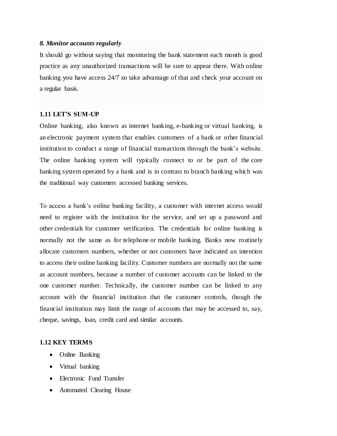#### *8. Monitor accounts regularly*

It should go without saying that monitoring the bank statement each month is good practice as any unauthorized transactions will be sure to appear there. With online banking you have access 24/7 so take advantage of that and check your account on a regular basis.

#### **1.11 LET'S SUM-UP**

Online banking, also known as internet banking, e-banking or virtual banking, is an [electronic payment system](https://en.wikipedia.org/wiki/Electronic_money) that enables customers of a [bank](https://en.wikipedia.org/wiki/Bank) or other [financial](https://en.wikipedia.org/wiki/Financial_institution)  [institution](https://en.wikipedia.org/wiki/Financial_institution) to conduct a range of [financial transactions](https://en.wikipedia.org/wiki/Financial_transaction) through the bank's website. The online banking system will typically connect to or be part of the [core](https://en.wikipedia.org/wiki/Core_banking)  [banking](https://en.wikipedia.org/wiki/Core_banking) system operated by a bank and is in contrast to [branch banking](https://en.wikipedia.org/wiki/Branch_banking) which was the traditional way customers accessed banking services.

To access a bank's online banking facility, a customer with internet access would need to register with the institution for the service, and set up a password and other [credentials](https://en.wikipedia.org/wiki/Credential) for customer verification. The credentials for online banking is normally not the same as for [telephone](https://en.wikipedia.org/wiki/Telephone_banking) or [mobile banking.](https://en.wikipedia.org/wiki/Mobile_banking) Banks now routinely allocate customers numbers, whether or not customers have indicated an intention to access their online banking facility. Customer numbers are normally not the same as account numbers, because a number of customer accounts can be linked to the one customer number. Technically, the customer number can be linked to any account with the financial institution that the customer controls, though the financial institution may limit the range of accounts that may be accessed to, say, cheque, savings, loan, credit card and similar accounts.

#### **1.12 KEY TERMS**

- Online Banking
- Virtual banking
- Electronic Fund Transfer
- Automated Clearing House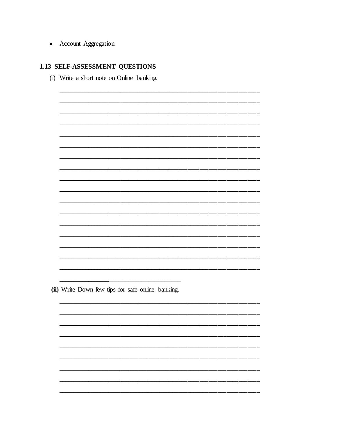• Account Aggregation

### 1.13 SELF-ASSESSMENT QUESTIONS

(i) Write a short note on Online banking.

(ii) Write Down few tips for safe online banking.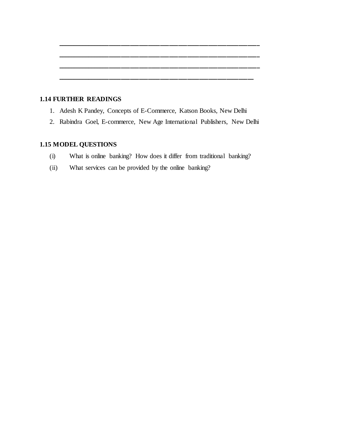#### **1.14 FURTHER READINGS**

- 1. Adesh K Pandey, Concepts of E-Commerce, Katson Books, New Delhi
- 2. Rabindra Goel, E-commerce, New Age International Publishers, New Delhi

**\_\_\_\_\_\_\_\_\_\_\_\_\_\_\_\_\_\_\_\_\_\_\_\_\_\_\_\_\_\_\_\_\_\_\_\_\_\_\_\_\_\_\_\_\_\_\_\_\_\_\_\_\_\_\_\_\_\_\_\_\_\_\_\_\_\_\_**

**\_\_\_\_\_\_\_\_\_\_\_\_\_\_\_\_\_\_\_\_\_\_\_\_\_\_\_\_\_\_\_\_\_\_\_\_\_\_\_\_\_\_\_\_\_\_\_\_\_\_\_\_\_\_\_\_\_\_\_\_\_\_\_\_\_\_\_**

**\_\_\_\_\_\_\_\_\_\_\_\_\_\_\_\_\_\_\_\_\_\_\_\_\_\_\_\_\_\_\_\_\_\_\_\_\_\_\_\_\_\_\_\_\_\_\_\_\_\_\_\_\_\_\_\_\_\_\_\_\_\_\_\_\_\_\_**

**\_\_\_\_\_\_\_\_\_\_\_\_\_\_\_\_\_\_\_\_\_\_\_\_\_\_\_\_\_\_\_\_\_\_\_\_\_\_\_\_\_\_\_\_\_\_\_\_\_\_\_\_\_\_\_\_\_\_\_\_\_\_\_\_\_**

## **1.15 MODEL QUESTIONS**

- (i) What is online banking? How does it differ from traditional banking?
- (ii) What services can be provided by the online banking?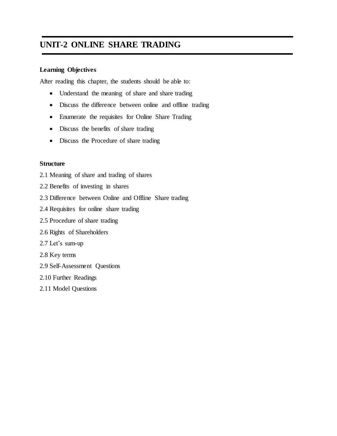## **UNIT-2 ONLINE SHARE TRADING**

#### **Learning Objectives**

After reading this chapter, the students should be able to:

- Understand the meaning of share and share trading
- Discuss the difference between online and offline trading
- Enumerate the requisites for Online Share Trading
- Discuss the benefits of share trading
- Discuss the Procedure of share trading

#### **Structure**

- 2.1 Meaning of share and trading of shares
- 2.2 Benefits of investing in shares
- 2.3 Difference between Online and Offline Share trading
- 2.4 Requisites for online share trading
- 2.5 Procedure of share trading
- 2.6 Rights of Shareholders
- 2.7 Let's sum-up
- 2.8 Key terms
- 2.9 Self-Assessment Questions
- 2.10 Further Readings
- 2.11 Model Questions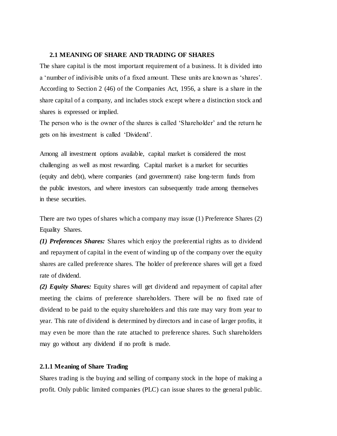#### **2.1 MEANING OF SHARE AND TRADING OF SHARES**

The share capital is the most important requirement of a business. It is divided into a 'number of indivisible units of a fixed amount. These units are known as 'shares'. According to Section 2 (46) of the Companies Act, 1956, a share is a share in the share capital of a company, and includes stock except where a distinction stock and shares is expressed or implied.

The person who is the owner of the shares is called 'Shareholder' and the return he gets on his investment is called 'Dividend'.

Among all investment options available, capital market is considered the most challenging as well as most rewarding. Capital market is a market for securities (equity and debt), where companies (and government) raise long-term funds from the public investors, and where investors can subsequently trade among themselves in these securities.

There are two types of shares which a company may issue (1) Preference Shares (2) Equality Shares.

*(1) Preferences Shares:* Shares which enjoy the preferential rights as to dividend and repayment of capital in the event of winding up of the company over the equity shares are called preference shares. The holder of preference shares will get a fixed rate of dividend.

*(2) Equity Shares:* Equity shares will get dividend and repayment of capital after meeting the claims of preference shareholders. There will be no fixed rate of dividend to be paid to the equity shareholders and this rate may vary from year to year. This rate of dividend is determined by directors and in case of larger profits, it may even be more than the rate attached to preference shares. Such shareholders may go without any dividend if no profit is made.

#### **2.1.1 Meaning of Share Trading**

Shares trading is the buying and selling of company stock in the hope of making a profit. Only public limited companies (PLC) can issue shares to the general public.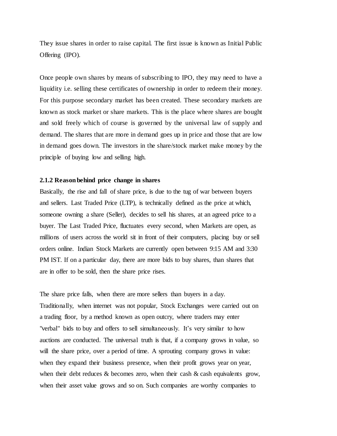They issue shares in order to raise capital. The first issue is known as Initial Public Offering (IPO).

Once people own shares by means of subscribing to IPO, they may need to have a liquidity i.e. selling these certificates of ownership in order to redeem their money. For this purpose secondary market has been created. These secondary markets are known as stock market or share markets. This is the place where shares are bought and sold freely which of course is governed by the universal law of supply and demand. The shares that are more in demand goes up in price and those that are low in demand goes down. The investors in the share/stock market make money by the principle of buying low and selling high.

#### **2.1.2 Reason behind price change in shares**

Basically, the rise and fall of share price, is due to the tug of war between buyers and sellers. Last Traded Price (LTP), is technically defined as the price at which, someone owning a share (Seller), decides to sell his shares, at an agreed price to a buyer. The Last Traded Price, fluctuates every second, when Markets are open, as millions of users across the world sit in front of their computers, placing buy or sell orders online. Indian Stock Markets are currently open between 9:15 AM and 3:30 PM IST. If on a particular day, there are more bids to buy shares, than shares that are in offer to be sold, then the share price rises.

The share price falls, when there are more sellers than buyers in a day. Traditionally, when internet was not popular, Stock Exchanges were carried out on a trading floor, by a method known as open outcry, where traders may enter "verbal" bids to buy and offers to sell simultaneously. It's very similar to how auctions are conducted. The universal truth is that, if a company grows in value, so will the share price, over a period of time. A sprouting company grows in value: when they expand their business presence, when their profit grows year on year, when their debt reduces  $&$  becomes zero, when their cash  $&$  cash equivalents grow, when their asset value grows and so on. Such companies are worthy companies to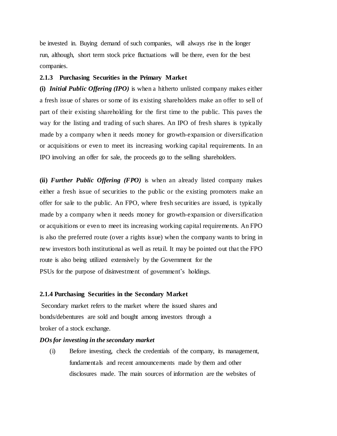be invested in. Buying demand of such companies, will always rise in the longer run, although, short term stock price fluctuations will be there, even for the best companies.

#### **2.1.3 Purchasing Securities in the Primary Market**

**(i)** *Initial Public Offering (IPO)* is when a hitherto unlisted company makes either a fresh issue of shares or some of its existing shareholders make an offer to sell of part of their existing shareholding for the first time to the public. This paves the way for the listing and trading of such shares. An IPO of fresh shares is typically made by a company when it needs money for growth-expansion or diversification or acquisitions or even to meet its increasing working capital requirements. In an IPO involving an offer for sale, the proceeds go to the selling shareholders.

**(ii)** *Further Public Offering (FPO)* is when an already listed company makes either a fresh issue of securities to the public or the existing promoters make an offer for sale to the public. An FPO, where fresh securities are issued, is typically made by a company when it needs money for growth-expansion or diversification or acquisitions or even to meet its increasing working capital requirements. An FPO is also the preferred route (over a rights issue) when the company wants to bring in new investors both institutional as well as retail. It may be pointed out that the FPO route is also being utilized extensively by the Government for the PSUs for the purpose of disinvestment of government's holdings.

#### **2.1.4 Purchasing Securities in the Secondary Market**

Secondary market refers to the market where the issued shares and bonds/debentures are sold and bought among investors through a broker of a stock exchange.

#### *DOs for investing in the secondary market*

(i) Before investing, check the credentials of the company, its management, fundamentals and recent announcements made by them and other disclosures made. The main sources of information are the websites of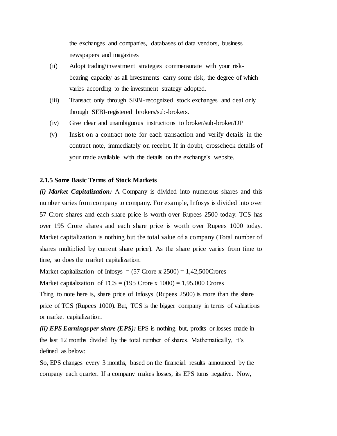the exchanges and companies, databases of data vendors, business newspapers and magazines

- (ii) Adopt trading/investment strategies commensurate with your riskbearing capacity as all investments carry some risk, the degree of which varies according to the investment strategy adopted.
- (iii) Transact only through SEBI-recognized stock exchanges and deal only through SEBI-registered brokers/sub-brokers.
- (iv) Give clear and unambiguous instructions to broker/sub-broker/DP
- (v) Insist on a contract note for each transaction and verify details in the contract note, immediately on receipt. If in doubt, crosscheck details of your trade available with the details on the exchange's website.

#### **2.1.5 Some Basic Terms of Stock Markets**

*(i) Market Capitalization:* A Company is divided into numerous shares and this number varies from company to company. For example, Infosys is divided into over 57 Crore shares and each share price is worth over Rupees 2500 today. TCS has over 195 Crore shares and each share price is worth over Rupees 1000 today. Market capitalization is nothing but the total value of a company (Total number of shares multiplied by current share price). As the share price varies from time to time, so does the market capitalization.

Market capitalization of Infosys =  $(57$  Crore x  $2500) = 1,42,500$ Crores

Market capitalization of TCS =  $(195 \text{ Core } x \, 1000) = 1,95,000 \text{ Cross}$ 

Thing to note here is, share price of Infosys (Rupees 2500) is more than the share price of TCS (Rupees 1000). But, TCS is the bigger company in terms of valuations or market capitalization.

*(ii) EPS Earnings per share (EPS):* EPS is nothing but, profits or losses made in the last 12 months divided by the total number of shares. Mathematically, it's defined as below:

So, EPS changes every 3 months, based on the financial results announced by the company each quarter. If a company makes losses, its EPS turns negative. Now,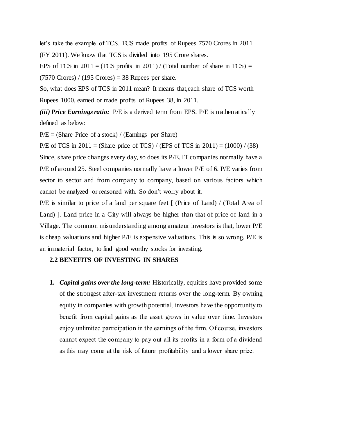let's take the example of TCS. TCS made profits of Rupees 7570 Crores in 2011 (FY 2011). We know that TCS is divided into 195 Crore shares.

EPS of TCS in  $2011 = (TCS)$  profits in  $2011$ ) / (Total number of share in TCS) =  $(7570$  Crores) /  $(195$  Crores) = 38 Rupees per share.

So, what does EPS of TCS in 2011 mean? It means that,each share of TCS worth Rupees 1000, earned or made profits of Rupees 38, in 2011.

*(iii) Price Earnings ratio:* P/E is a derived term from EPS. P/E is mathematically defined as below:

 $P/E = (Share Price of a stock) / (Earnings perShare)$ 

P/E of TCS in  $2011 = (Share\ price\ of\ TCS) / (EPS\ of\ TCS\ in\ 2011) = (1000) / (38)$ 

Since, share price changes every day, so does its P/E. IT companies normally have a P/E of around 25. Steel companies normally have a lower P/E of 6. P/E varies from sector to sector and from company to company, based on various factors which cannot be analyzed or reasoned with. So don't worry about it.

P/E is similar to price of a land per square feet [ (Price of Land) / (Total Area of Land) ]. Land price in a City will always be higher than that of price of land in a Village. The common misunderstanding among amateur investors is that, lower P/E is cheap valuations and higher P/E is expensive valuations. This is so wrong. P/E is an immaterial factor, to find good worthy stocks for investing.

#### **2.2 BENEFITS OF INVESTING IN SHARES**

**1.** *Capital gains over the long-term:* Historically, equities have provided some of the strongest after-tax investment returns over the long-term. By owning equity in companies with growth potential, investors have the opportunity to benefit from capital gains as the asset grows in value over time. Investors enjoy unlimited participation in the earnings of the firm. Of course, investors cannot expect the company to pay out all its profits in a form of a dividend as this may come at the risk of future profitability and a lower share price.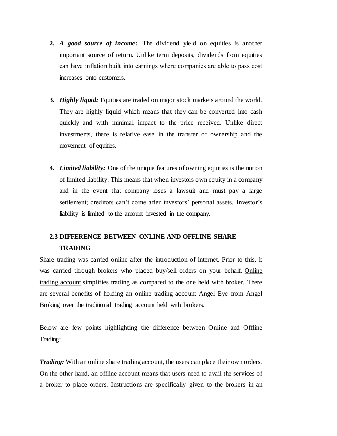- **2.** *A good source of income:* The dividend yield on equities is another important source of return. Unlike term deposits, dividends from equities can have inflation built into earnings where companies are able to pass cost increases onto customers.
- **3.** *Highly liquid:* Equities are traded on major stock markets around the world. They are highly liquid which means that they can be converted into cash quickly and with minimal impact to the price received. Unlike direct investments, there is relative ease in the transfer of ownership and the movement of equities.
- **4.** *Limited liability:* One of the unique features of owning equities is the notion of limited liability. This means that when investors own equity in a company and in the event that company loses a lawsuit and must pay a large settlement; creditors can't come after investors' personal assets. Investor's liability is limited to the amount invested in the company.

## **2.3 DIFFERENCE BETWEEN ONLINE AND OFFLINE SHARE TRADING**

Share trading was carried online after the introduction of internet. Prior to this, it was carried through brokers who placed buy/sell orders on your behalf. [Online](http://www.angelbroking.com/trading-account)  [trading account](http://www.angelbroking.com/trading-account) simplifies trading as compared to the one held with broker. There are several benefits of holding an online trading account Angel Eye from Angel Broking over the traditional trading account held with brokers.

Below are few points highlighting the difference between Online and Offline Trading:

*Trading:* With an online share trading account, the users can place their own orders. On the other hand, an offline account means that users need to avail the services of a broker to place orders. Instructions are specifically given to the brokers in an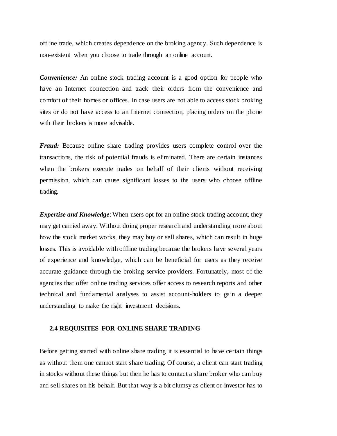offline trade, which creates dependence on the broking agency. Such dependence is non-existent when you choose to trade through an online account.

*Convenience:* An online stock trading account is a good option for people who have an Internet connection and track their orders from the convenience and comfort of their homes or offices. In case users are not able to access stock broking sites or do not have access to an Internet connection, placing orders on the phone with their brokers is more advisable.

*Fraud:* Because online share trading provides users complete control over the transactions, the risk of potential frauds is eliminated. There are certain instances when the brokers execute trades on behalf of their clients without receiving permission, which can cause significant losses to the users who choose offline trading.

*Expertise and Knowledge*: When users opt for an online stock trading account, they may get carried away. Without doing proper research and understanding more about how the stock market works, they may buy or sell shares, which can result in huge losses. This is avoidable with offline trading because the brokers have several years of experience and knowledge, which can be beneficial for users as they receive accurate guidance through the broking service providers. Fortunately, most of the agencies that offer online trading services offer access to research reports and other technical and fundamental analyses to assist account-holders to gain a deeper understanding to make the right investment decisions.

#### **2.4 REQUISITES FOR ONLINE SHARE TRADING**

Before getting started with online share trading it is essential to have certain things as without them one cannot start share trading. Of course, a client can start trading in stocks without these things but then he has to contact a share broker who can buy and sell shares on his behalf. But that way is a bit clumsy as client or investor has to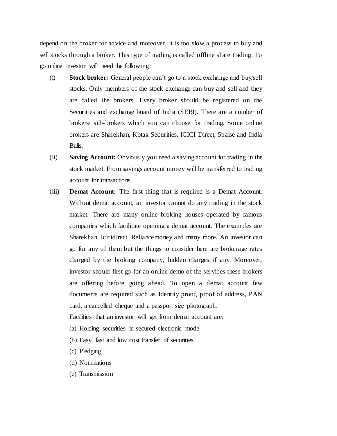depend on the broker for advice and moreover, it is too slow a process to buy and sell stocks through a broker. This type of trading is called offline share trading. To go online investor will need the following:

- (i) **Stock broker:** General people can't go to a stock exchange and buy/sell stocks. Only members of the stock exchange can buy and sell and they are called the brokers. Every broker should be registered on the Securities and exchange board of India (SEBI). There are a number of brokers/ sub-brokers which you can choose for trading. Some online brokers are Sharekhan, Kotak Securities, ICICI Direct, 5paise and India Bulls.
- (ii) **Saving Account:** Obviously you need a saving account for trading in the stock market. From savings account money will be transferred to trading account for transactions.
- (iii) **Demat Account:** The first thing that is required is a Demat Account. Without demat account, an investor cannot do any trading in the stock market. There are many online broking houses operated by famous companies which facilitate opening a demat account. The examples are Sharekhan, Icicidirect, Reliancemoney and many more. An investor can go for any of them but the things to consider here are brokerage rates charged by the broking company, hidden charges if any. Moreover, investor should first go for an online demo of the services these brokers are offering before going ahead. To open a demat account few documents are required such as Identity proof, proof of address, PAN card, a cancelled cheque and a passport size photograph. Facilities that an investor will get from demat account are:
	-
	- (a) Holding securities in secured electronic mode
	- (b) Easy, fast and low cost transfer of securities
	- (c) Pledging
	- (d) Nominations
	- (e) Transmission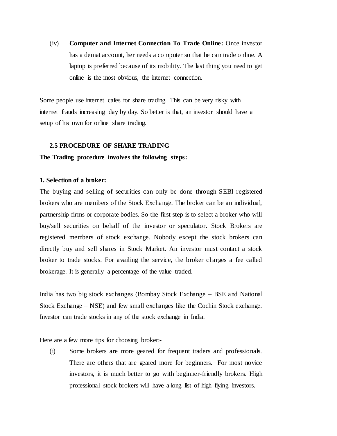(iv) **Computer and Internet Connection To Trade Online:** Once investor has a demat account, her needs a computer so that he can trade online. A laptop is preferred because of its mobility. The last thing you need to get online is the most obvious, the internet connection.

Some people use internet cafes for share trading. This can be very risky with internet frauds increasing day by day. So better is that, an investor should have a setup of his own for online share trading.

#### **2.5 PROCEDURE OF SHARE TRADING**

#### **The Trading procedure involves the following steps:**

#### **1. Selection of a broker:**

The buying and selling of securities can only be done through SEBI registered brokers who are members of the Stock Exchange. The broker can be an individual, partnership firms or corporate bodies. So the first step is to select a broker who will buy/sell securities on behalf of the investor or speculator. Stock Brokers are registered members of stock exchange. Nobody except the stock brokers can directly buy and sell shares in Stock Market. An investor must contact a stock broker to trade stocks. For availing the service, the broker charges a fee called brokerage. It is generally a percentage of the value traded.

India has two big stock exchanges (Bombay Stock Exchange – BSE and National Stock Exchange – NSE) and few small exchanges like the Cochin Stock exchange. Investor can trade stocks in any of the stock exchange in India.

Here are a few more tips for choosing broker:-

(i) Some brokers are more geared for frequent traders and professionals. There are others that are geared more for beginners. For most novice investors, it is much better to go with beginner-friendly brokers. High professional stock brokers will have a long list of high flying investors.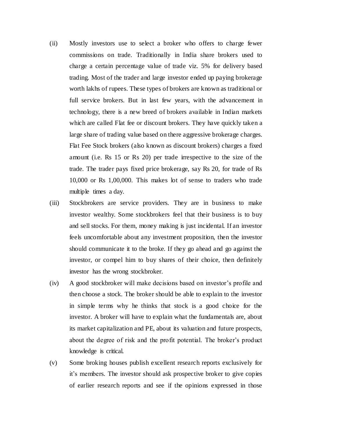- (ii) Mostly investors use to select a broker who offers to charge fewer commissions on trade. Traditionally in India share brokers used to charge a certain percentage value of trade viz. 5% for delivery based trading. Most of the trader and large investor ended up paying brokerage worth lakhs of rupees. These types of brokers are known as traditional or full service brokers. But in last few years, with the advancement in technology, there is a new breed of brokers available in Indian markets which are called Flat fee or discount brokers. They have quickly taken a large share of trading value based on there aggressive brokerage charges. Flat Fee Stock brokers (also known as discount brokers) charges a fixed amount (i.e. Rs 15 or Rs 20) per trade irrespective to the size of the trade. The trader pays fixed price brokerage, say Rs 20, for trade of Rs 10,000 or Rs 1,00,000. This makes lot of sense to traders who trade multiple times a day.
- (iii) Stockbrokers are service providers. They are in business to make investor wealthy. Some stockbrokers feel that their business is to buy and sell stocks. For them, money making is just incidental. If an investor feels uncomfortable about any investment proposition, then the investor should communicate it to the broke. If they go ahead and go against the investor, or compel him to buy shares of their choice, then definitely investor has the wrong stockbroker.
- (iv) A good stockbroker will make decisions based on investor's profile and then choose a stock. The broker should be able to explain to the investor in simple terms why he thinks that stock is a good choice for the investor. A broker will have to explain what the fundamentals are, about its market capitalization and PE, about its valuation and future prospects, about the degree of risk and the profit potential. The broker's product knowledge is critical.
- (v) Some broking houses publish excellent research reports exclusively for it's members. The investor should ask prospective broker to give copies of earlier research reports and see if the opinions expressed in those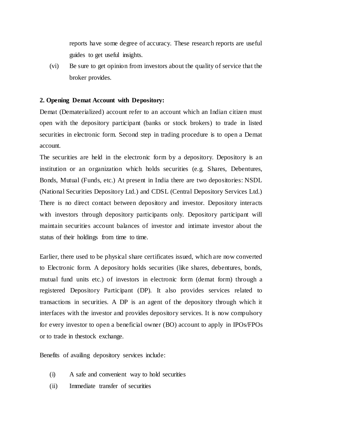reports have some degree of accuracy. These research reports are useful guides to get useful insights.

(vi) Be sure to get opinion from investors about the quality of service that the broker provides.

#### **2. Opening Demat Account with Depository:**

Demat (Dematerialized) account refer to an account which an Indian citizen must open with the depository participant (banks or stock brokers) to trade in listed securities in electronic form. Second step in trading procedure is to open a Demat account.

The securities are held in the electronic form by a depository. Depository is an institution or an organization which holds securities (e.g. Shares, Debentures, Bonds, Mutual (Funds, etc.) At present in India there are two depositories: NSDL (National Securities Depository Ltd.) and CDSL (Central Depository Services Ltd.) There is no direct contact between depository and investor. Depository interacts with investors through depository participants only. Depository participant will maintain securities account balances of investor and intimate investor about the status of their holdings from time to time.

Earlier, there used to be physical share certificates issued, which are now converted to Electronic form. A depository holds securities (like shares, debentures, bonds, mutual fund units etc.) of investors in electronic form (demat form) through a registered Depository Participant (DP). It also provides services related to transactions in securities. A DP is an agent of the depository through which it interfaces with the investor and provides depository services. It is now compulsory for every investor to open a beneficial owner (BO) account to apply in IPOs/FPOs or to trade in thestock exchange.

Benefits of availing depository services include:

- (i) A safe and convenient way to hold securities
- (ii) Immediate transfer of securities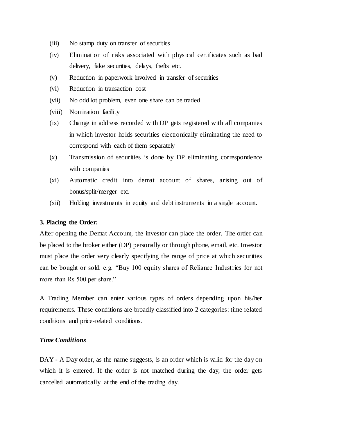- (iii) No stamp duty on transfer of securities
- (iv) Elimination of risks associated with physical certificates such as bad delivery, fake securities, delays, thefts etc.
- (v) Reduction in paperwork involved in transfer of securities
- (vi) Reduction in transaction cost
- (vii) No odd lot problem, even one share can be traded
- (viii) Nomination facility
- (ix) Change in address recorded with DP gets registered with all companies in which investor holds securities electronically eliminating the need to correspond with each of them separately
- (x) Transmission of securities is done by DP eliminating correspondence with companies
- (xi) Automatic credit into demat account of shares, arising out of bonus/split/merger etc.
- (xii) Holding investments in equity and debt instruments in a single account.

#### **3. Placing the Order:**

After opening the Demat Account, the investor can place the order. The order can be placed to the broker either (DP) personally or through phone, email, etc. Investor must place the order very clearly specifying the range of price at which securities can be bought or sold. e.g. "Buy 100 equity shares of Reliance Industries for not more than Rs 500 per share."

A Trading Member can enter various types of orders depending upon his/her requirements. These conditions are broadly classified into 2 categories: time related conditions and price-related conditions.

#### *Time Conditions*

DAY - A Day order, as the name suggests, is an order which is valid for the day on which it is entered. If the order is not matched during the day, the order gets cancelled automatically at the end of the trading day.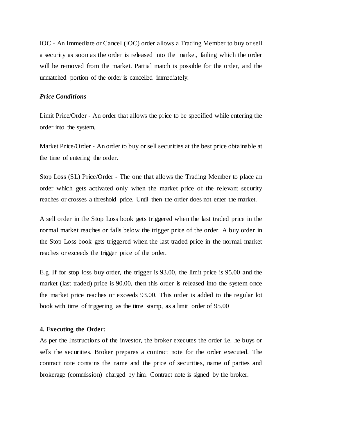IOC - An Immediate or Cancel (IOC) order allows a Trading Member to buy or sell a security as soon as the order is released into the market, failing which the order will be removed from the market. Partial match is possible for the order, and the unmatched portion of the order is cancelled immediately.

#### *Price Conditions*

Limit Price/Order - An order that allows the price to be specified while entering the order into the system.

Market Price/Order - An order to buy or sell securities at the best price obtainable at the time of entering the order.

Stop Loss (SL) Price/Order - The one that allows the Trading Member to place an order which gets activated only when the market price of the relevant security reaches or crosses a threshold price. Until then the order does not enter the market.

A sell order in the Stop Loss book gets triggered when the last traded price in the normal market reaches or falls below the trigger price of the order. A buy order in the Stop Loss book gets triggered when the last traded price in the normal market reaches or exceeds the trigger price of the order.

E.g. If for stop loss buy order, the trigger is 93.00, the limit price is 95.00 and the market (last traded) price is 90.00, then this order is released into the system once the market price reaches or exceeds 93.00. This order is added to the regular lot book with time of triggering as the time stamp, as a limit order of 95.00

#### **4. Executing the Order:**

As per the Instructions of the investor, the broker executes the order i.e. he buys or sells the securities. Broker prepares a contract note for the order executed. The contract note contains the name and the price of securities, name of parties and brokerage (commission) charged by him. Contract note is signed by the broker.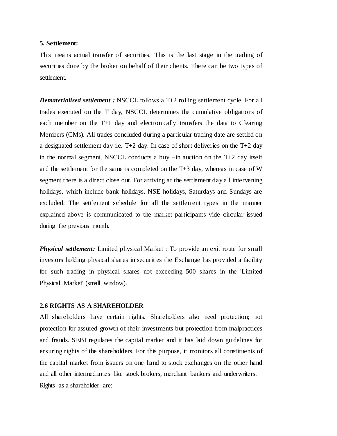#### **5. Settlement:**

This means actual transfer of securities. This is the last stage in the trading of securities done by the broker on behalf of their clients. There can be two types of settlement.

*Dematerialised settlement* : NSCCL follows a T+2 rolling settlement cycle. For all trades executed on the T day, NSCCL determines the cumulative obligations of each member on the T+1 day and electronically transfers the data to Clearing Members (CMs). All trades concluded during a particular trading date are settled on a designated settlement day i.e.  $T+2$  day. In case of short deliveries on the  $T+2$  day in the normal segment, NSCCL conducts a buy –in auction on the T+2 day itself and the settlement for the same is completed on the T+3 day, whereas in case of W segment there is a direct close out. For arriving at the settlement day all intervening holidays, which include bank holidays, NSE holidays, Saturdays and Sundays are excluded. The settlement schedule for all the settlement types in the manner explained above is communicated to the market participants vide circular issued during the previous month.

*Physical settlement:* Limited physical Market : To provide an exit route for small investors holding physical shares in securities the Exchange has provided a facility for such trading in physical shares not exceeding 500 shares in the 'Limited Physical Market' (small window).

#### **2.6 RIGHTS AS A SHAREHOLDER**

All shareholders have certain rights. Shareholders also need protection; not protection for assured growth of their investments but protection from malpractices and frauds. SEBI regulates the capital market and it has laid down guidelines for ensuring rights of the shareholders. For this purpose, it monitors all constituents of the capital market from issuers on one hand to stock exchanges on the other hand and all other intermediaries like stock brokers, merchant bankers and underwriters. Rights as a shareholder are: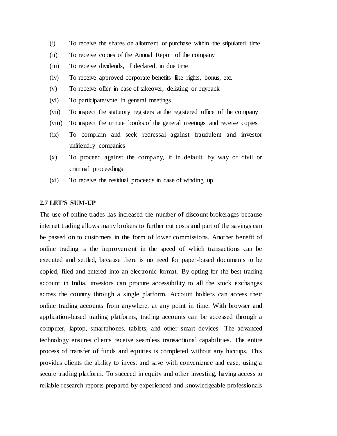- (i) To receive the shares on allotment or purchase within the stipulated time
- (ii) To receive copies of the Annual Report of the company
- (iii) To receive dividends, if declared, in due time
- (iv) To receive approved corporate benefits like rights, bonus, etc.
- (v) To receive offer in case of takeover, delisting or buyback
- (vi) To participate/vote in general meetings
- (vii) To inspect the statutory registers at the registered office of the company
- (viii) To inspect the minute books of the general meetings and receive copies
- (ix) To complain and seek redressal against fraudulent and investor unfriendly companies
- (x) To proceed against the company, if in default, by way of civil or criminal proceedings
- (xi) To receive the residual proceeds in case of winding up

#### **2.7 LET'S SUM-UP**

The use of online trades has increased the number of discount brokerages because internet trading allows many brokers to further cut costs and part of the savings can be passed on to customers in the form of lower commissions. Another benefit of online trading is the improvement in the speed of which transactions can be executed and settled, because there is no need for paper-based documents to be copied, filed and entered into an electronic format. By opting for the best trading account in India, investors can procure accessibility to all the stock exchanges across the country through a single platform. Account holders can access their online trading accounts from anywhere, at any point in time. With browser and application-based trading platforms, trading accounts can be accessed through a computer, laptop, smartphones, tablets, and other smart devices. The advanced technology ensures clients receive seamless transactional capabilities. The entire process of transfer of funds and equities is completed without any hiccups. This provides clients the ability to invest and save with convenience and ease, using a secure trading platform. To succeed in equity and other investing, having access to reliable research reports prepared by experienced and knowledgeable professionals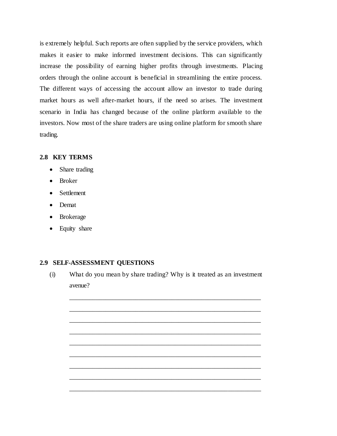is extremely helpful. Such reports are often supplied by the service providers, which makes it easier to make informed investment decisions. This can significantly increase the possibility of earning higher profits through investments. Placing orders through the online account is beneficial in streamlining the entire process. The different ways of accessing the account allow an investor to trade during market hours as well after-market hours, if the need so arises. The investment scenario in India has changed because of the online platform available to the investors. Now most of the share traders are using online platform for smooth share trading.

#### **2.8 KEY TERMS**

- Share trading
- Broker
- Settlement
- Demat
- Brokerage
- Equity share

#### **2.9 SELF-ASSESSMENT QUESTIONS**

(i) What do you mean by share trading? Why is it treated as an investment avenue?

\_\_\_\_\_\_\_\_\_\_\_\_\_\_\_\_\_\_\_\_\_\_\_\_\_\_\_\_\_\_\_\_\_\_\_\_\_\_\_\_\_\_\_\_\_\_\_\_\_\_\_\_\_\_\_\_\_\_

\_\_\_\_\_\_\_\_\_\_\_\_\_\_\_\_\_\_\_\_\_\_\_\_\_\_\_\_\_\_\_\_\_\_\_\_\_\_\_\_\_\_\_\_\_\_\_\_\_\_\_\_\_\_\_\_\_\_

\_\_\_\_\_\_\_\_\_\_\_\_\_\_\_\_\_\_\_\_\_\_\_\_\_\_\_\_\_\_\_\_\_\_\_\_\_\_\_\_\_\_\_\_\_\_\_\_\_\_\_\_\_\_\_\_\_\_

\_\_\_\_\_\_\_\_\_\_\_\_\_\_\_\_\_\_\_\_\_\_\_\_\_\_\_\_\_\_\_\_\_\_\_\_\_\_\_\_\_\_\_\_\_\_\_\_\_\_\_\_\_\_\_\_\_\_

\_\_\_\_\_\_\_\_\_\_\_\_\_\_\_\_\_\_\_\_\_\_\_\_\_\_\_\_\_\_\_\_\_\_\_\_\_\_\_\_\_\_\_\_\_\_\_\_\_\_\_\_\_\_\_\_\_\_

\_\_\_\_\_\_\_\_\_\_\_\_\_\_\_\_\_\_\_\_\_\_\_\_\_\_\_\_\_\_\_\_\_\_\_\_\_\_\_\_\_\_\_\_\_\_\_\_\_\_\_\_\_\_\_\_\_\_

\_\_\_\_\_\_\_\_\_\_\_\_\_\_\_\_\_\_\_\_\_\_\_\_\_\_\_\_\_\_\_\_\_\_\_\_\_\_\_\_\_\_\_\_\_\_\_\_\_\_\_\_\_\_\_\_\_\_

\_\_\_\_\_\_\_\_\_\_\_\_\_\_\_\_\_\_\_\_\_\_\_\_\_\_\_\_\_\_\_\_\_\_\_\_\_\_\_\_\_\_\_\_\_\_\_\_\_\_\_\_\_\_\_\_\_\_

\_\_\_\_\_\_\_\_\_\_\_\_\_\_\_\_\_\_\_\_\_\_\_\_\_\_\_\_\_\_\_\_\_\_\_\_\_\_\_\_\_\_\_\_\_\_\_\_\_\_\_\_\_\_\_\_\_\_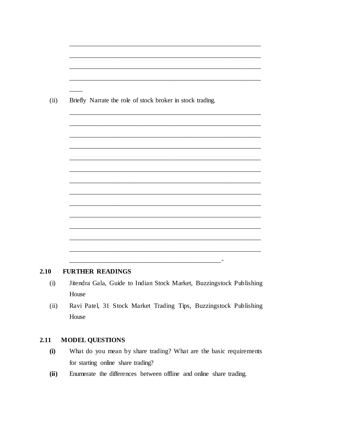| Briefly Narrate the role of stock broker in stock trading. |  |  |
|------------------------------------------------------------|--|--|
|                                                            |  |  |
|                                                            |  |  |
|                                                            |  |  |
|                                                            |  |  |
|                                                            |  |  |
|                                                            |  |  |
|                                                            |  |  |
|                                                            |  |  |
|                                                            |  |  |

#### $2.10$ **FURTHER READINGS**

- Jitendra Gala, Guide to Indian Stock Market, Buzzingstock Publishing  $(i)$ House
- Ravi Patel, 31 Stock Market Trading Tips, Buzzingstock Publishing  $(ii)$ House

#### **MODEL QUESTIONS**  $2.11$

- What do you mean by share trading? What are the basic requirements  $(i)$ for starting online share trading?
- $(ii)$ Enumerate the differences between offline and online share trading.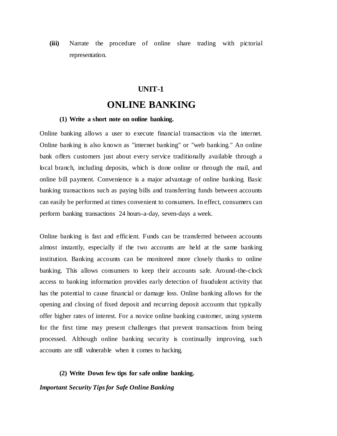**(iii)** Narrate the procedure of online share trading with pictorial representation.

### **UNIT-1**

## **ONLINE BANKING**

#### **(1) Write a short note on online banking.**

Online banking allows a user to execute financial transactions via the internet. Online banking is also known as "internet banking" or "web banking." An online bank offers customers just about every service traditionally available through a local branch, including deposits, which is done online or through the mail, and online bill payment. Convenience is a major advantage of online banking. Basic banking transactions such as paying bills and transferring funds between accounts can easily be performed at times convenient to consumers. In effect, consumers can perform banking transactions 24 hours-a-day, seven-days a week.

Online banking is fast and efficient. Funds can be transferred between accounts almost instantly, especially if the two accounts are held at the same banking institution. Banking accounts can be monitored more closely thanks to online banking. This allows consumers to keep their accounts safe. Around-the-clock access to banking information provides early detection of fraudulent activity that has the potential to cause financial or damage loss. Online banking allows for the opening and closing of fixed deposit and recurring deposit accounts that typically offer higher rates of interest. For a novice online banking customer, using systems for the first time may present challenges that prevent transactions from being processed. Although online banking security is continually improving, such accounts are still vulnerable when it comes to hacking.

#### **(2) Write Down few tips for safe online banking.**

*Important Security Tips for Safe Online Banking*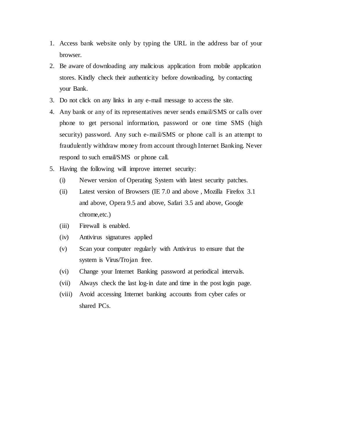- 1. Access bank website only by typing the URL in the address bar of your browser.
- 2. Be aware of downloading any malicious application from mobile application stores. Kindly check their authenticity before downloading, by contacting your Bank.
- 3. Do not click on any links in any e-mail message to access the site.
- 4. Any bank or any of its representatives never sends email/SMS or calls over phone to get personal information, password or one time SMS (high security) password. Any such e-mail/SMS or phone call is an attempt to fraudulently withdraw money from account through Internet Banking. Never respond to such email/SMS or phone call.
- 5. Having the following will improve internet security:
	- (i) Newer version of Operating System with latest security patches.
	- (ii) Latest version of Browsers (IE 7.0 and above , Mozilla Firefox 3.1 and above, Opera 9.5 and above, Safari 3.5 and above, Google chrome,etc.)
	- (iii) Firewall is enabled.
	- (iv) Antivirus signatures applied
	- (v) Scan your computer regularly with Antivirus to ensure that the system is Virus/Trojan free.
	- (vi) Change your Internet Banking password at periodical intervals.
	- (vii) Always check the last log-in date and time in the post login page.
	- (viii) Avoid accessing Internet banking accounts from cyber cafes or shared PCs.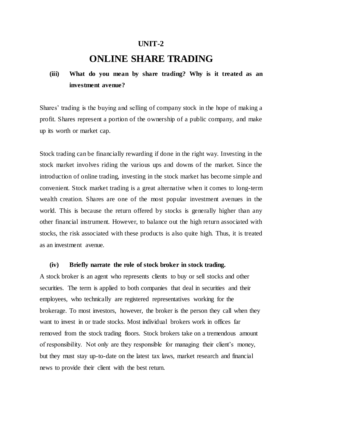### **UNIT-2**

## **ONLINE SHARE TRADING**

## **(iii) What do you mean by share trading? Why is it treated as an investment avenue?**

Shares' trading is the buying and selling of company stock in the hope of making a profit. Shares represent a portion of the ownership of a public company, and make up its worth or market cap.

Stock trading can be financially rewarding if done in the right way. Investing in the stock market involves riding the various ups and downs of the market. Since the introduction of online trading, investing in the stock market has become simple and convenient. Stock market trading is a great alternative when it comes to long-term wealth creation. Shares are one of the most popular investment avenues in the world. This is because the return offered by stocks is generally higher than any other financial instrument. However, to balance out the high return associated with stocks, the risk associated with these products is also quite high. Thus, it is treated as an investment avenue.

#### **(iv) Briefly narrate the role of stock broker in stock trading.**

A stock broker is an agent who represents clients to buy or sell stocks and other securities. The term is applied to both companies that deal in securities and their employees, who technically are registered representatives working for the brokerage. To most investors, however, the broker is the person they call when they want to invest in or trade stocks. Most individual brokers work in offices far removed from the stock trading floors. Stock brokers take on a tremendous amount of responsibility. Not only are they responsible for managing their client's money, but they must stay up-to-date on the latest tax laws, market research and financial news to provide their client with the best return.